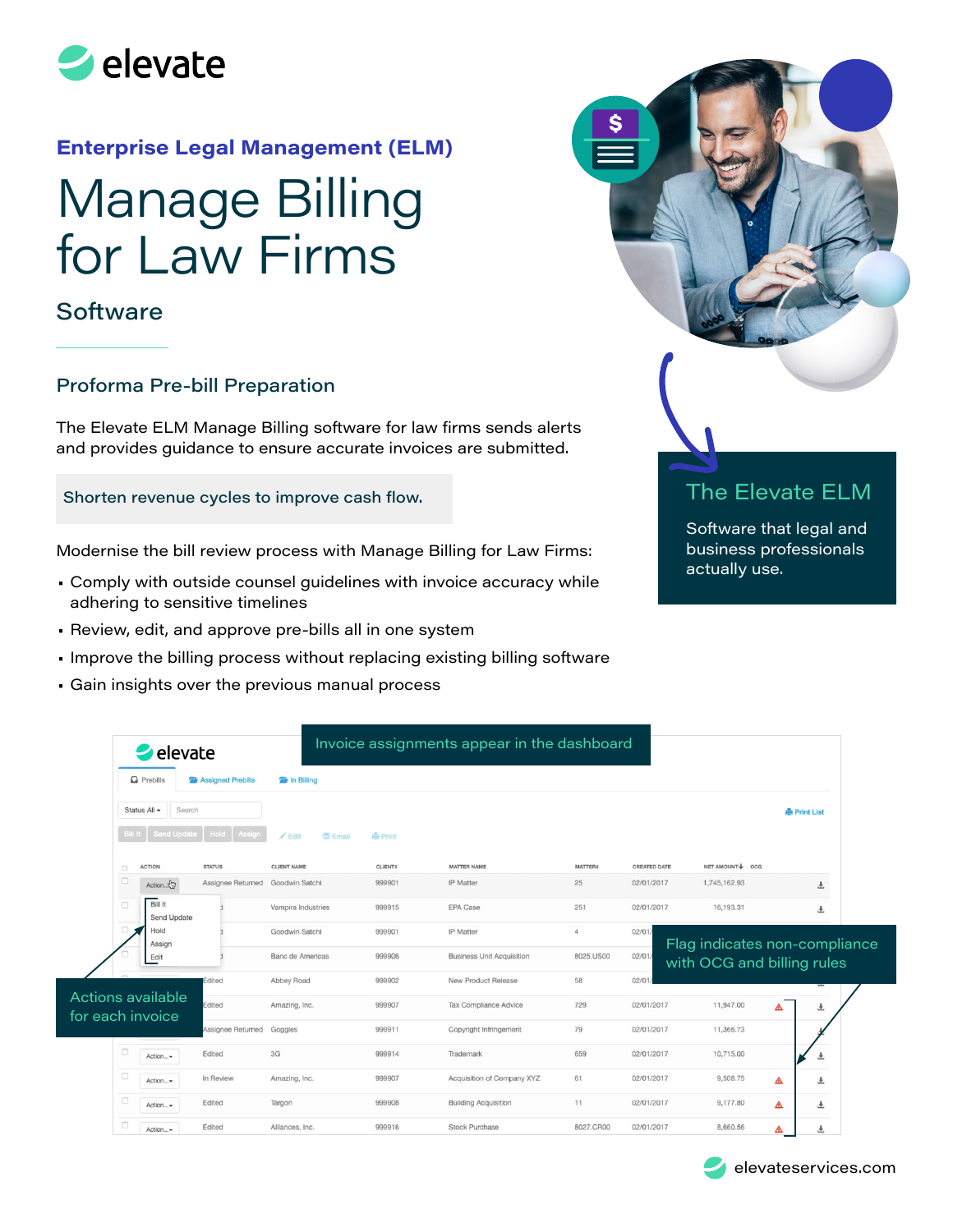

## **Enterprise Legal Management (ELM)**

# Manage Billing for Law Firms

## **Software**

#### Proforma Pre-bill Preparation

The Elevate ELM Manage Billing software for law firms sends alerts and provides guidance to ensure accurate invoices are submitted.

#### Shorten revenue cycles to improve cash flow.

Modernise the bill review process with Manage Billing for Law Firms:

- Comply with outside counsel guidelines with invoice accuracy while adhering to sensitive timelines
- Review, edit, and approve pre-bills all in one system
- Improve the billing process without replacing existing billing software
- Gain insights over the previous manual process



# The Elevate ELM

Software that legal and business professionals actually use.

| $\blacktriangleright$ elevate           |                   |                               | Invoice assignments appear in the dashboard |                                  |                |                     |                                                             |                     |
|-----------------------------------------|-------------------|-------------------------------|---------------------------------------------|----------------------------------|----------------|---------------------|-------------------------------------------------------------|---------------------|
| $\Box$ Prebills                         | Assigned Prebills | <b>E</b> In Billing           |                                             |                                  |                |                     |                                                             |                     |
| Search<br>Status All -                  |                   |                               |                                             |                                  |                |                     |                                                             | <b>A</b> Print List |
| <b>Send Update</b>                      | Assign<br>Hold    | <b>Email</b><br>$\angle$ Edit | <b>A</b> Print                              |                                  |                |                     |                                                             |                     |
| <b>ACTION</b><br>o                      | <b>STATUS</b>     | <b>CLIENT NAME</b>            | <b>CLIENT#</b>                              | MATTER NAME                      | <b>MATTER#</b> | <b>CREATED DATE</b> | NET AMOUNT + OCG                                            |                     |
| $\Box$<br>Action Co                     | Assignee Returned | Goodwin Satchi                | 999901                                      | <b>IP</b> Matter                 | 25             | 02/01/2017          | 1,745,162.93                                                | 玉                   |
| <b>Bill It</b><br>$\Box$<br>Send Update |                   | Vampira Industries            | 999915                                      | <b>EPA Case</b>                  | 251            | 02/01/2017          | 16,193.31                                                   | 玉                   |
| $\Box$<br>Hold<br>Assign                |                   | Goodwin Satchi                | 999901                                      | IP Matter                        | $\Delta$       | 02/01               |                                                             |                     |
| Edit                                    |                   | <b>Banc de Americas</b>       | 999906                                      | <b>Business Unit Acquisition</b> | 8025.US00      | 02/01               | Flag indicates non-compliance<br>with OCG and billing rules |                     |
|                                         | Edited            | Abbey Road                    | 999902                                      | New Product Release              | 58             | 02/01               |                                                             |                     |
| Actions available<br>for each invoice   | Edited            | Amazing, Inc.                 | 999907                                      | Tax Compliance Advice            | 729            | 02/01/2017          | 11,947.00                                                   | 土<br>◬              |
|                                         | Assignee Returned | Goggles                       | 999911                                      | Copyright Infringement           | 79             | 02/01/2017          | 11,366.73                                                   |                     |
| $\Box$<br>Action                        | Edited            | 3G                            | 999914                                      | Trademark                        | 659            | 02/01/2017          | 10,715.00                                                   | 玉                   |
| $\Box$<br>Action                        | In Review         | Amazing, Inc.                 | 999907                                      | Acquisition of Company XYZ       | 61             | 02/01/2017          | 9,508.75                                                    | ◬<br>Ŧ              |
| o<br>Action                             | Edited            | Targon                        | 999908                                      | <b>Building Acquisition</b>      | 11             | 02/01/2017          | 9,177.80                                                    | ◬<br>玉              |
| $\Box$<br>Action                        | Edited            | Alliances, Inc.               | 999916                                      | <b>Stock Purchase</b>            | 8027.CR00      | 02/01/2017          | 8,660.56                                                    | Δ<br>土              |

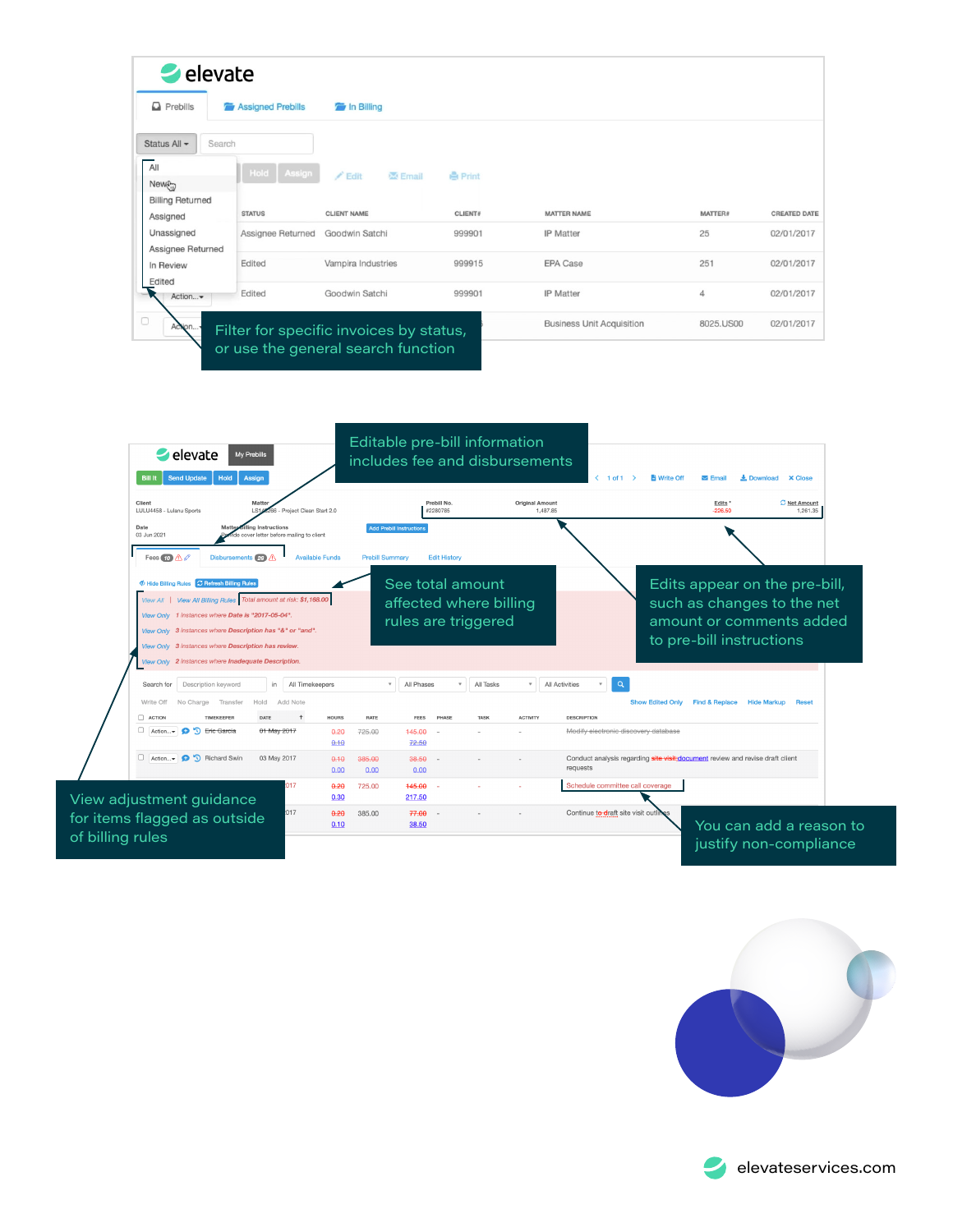







elevateservices.com